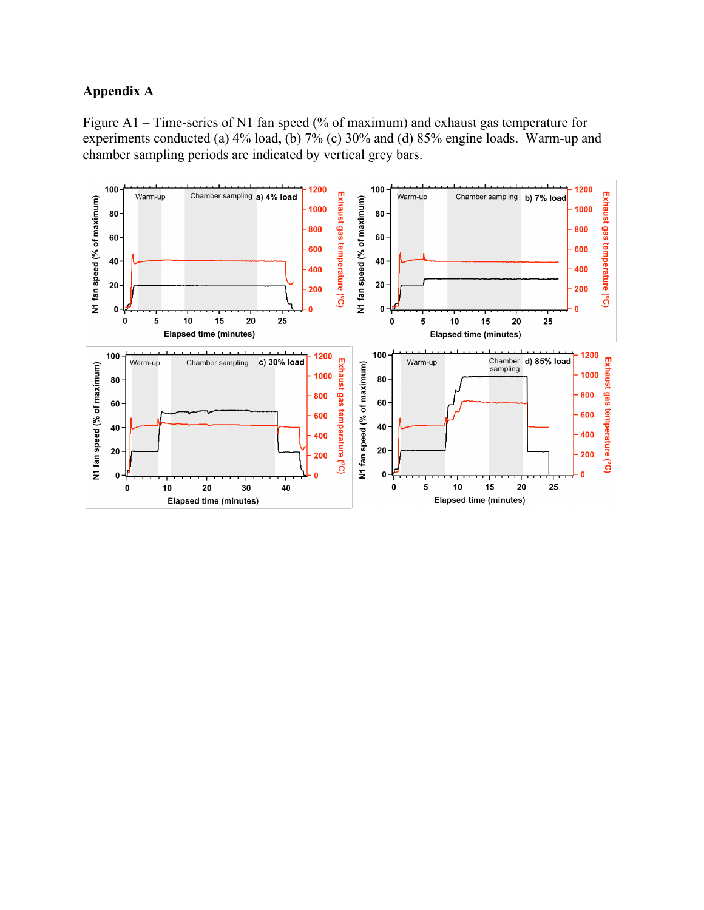## **Appendix A**

Figure A1 – Time-series of N1 fan speed (% of maximum) and exhaust gas temperature for experiments conducted (a) 4% load, (b) 7% (c) 30% and (d) 85% engine loads. Warm-up and chamber sampling periods are indicated by vertical grey bars.

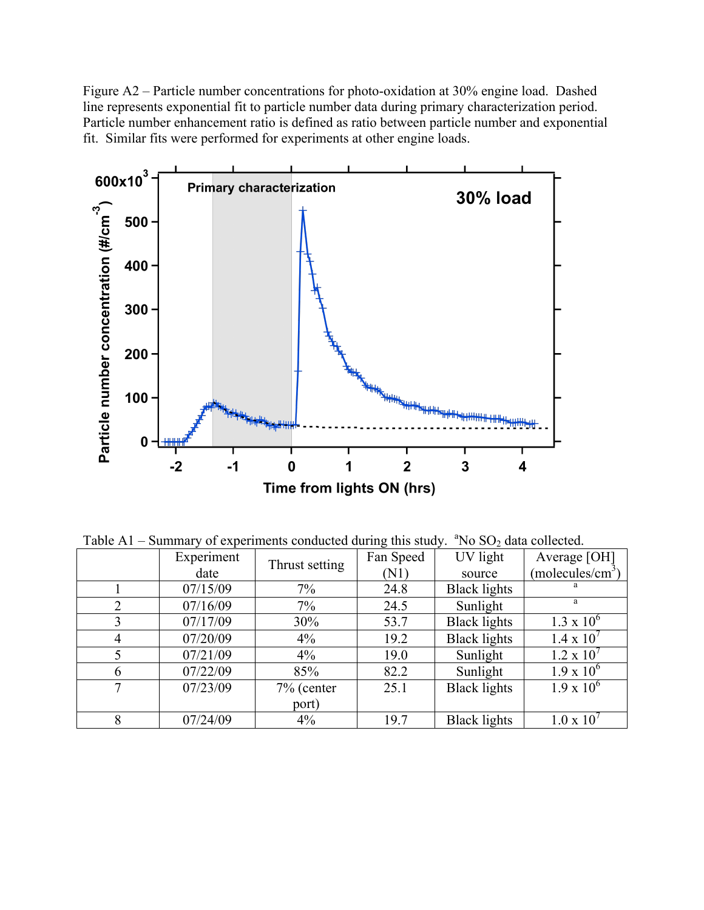Figure A2 – Particle number concentrations for photo-oxidation at 30% engine load. Dashed line represents exponential fit to particle number data during primary characterization period. Particle number enhancement ratio is defined as ratio between particle number and exponential fit. Similar fits were performed for experiments at other engine loads.



Table  $A1$  – Summary of experiments conducted during this study.  ${}^{a}$ No SO<sub>2</sub> data collected.

|   | Experiment |                | Fan Speed | UV light            | Average [OH]                 |
|---|------------|----------------|-----------|---------------------|------------------------------|
|   | date       | Thrust setting | (N1)      | source              | (molecules/cm <sup>3</sup> ) |
|   | 07/15/09   | $7\%$          | 24.8      | <b>Black lights</b> |                              |
|   | 07/16/09   | 7%             | 24.5      | Sunlight            | a                            |
| 3 | 07/17/09   | 30%            | 53.7      | <b>Black lights</b> | $1.3 \times 10^{6}$          |
| 4 | 07/20/09   | $4\%$          | 19.2      | <b>Black lights</b> | $1.4 \times 10^{7}$          |
|   | 07/21/09   | $4\%$          | 19.0      | Sunlight            | $1.2 \times 10^{7}$          |
| 6 | 07/22/09   | 85%            | 82.2      | Sunlight            | $1.9 \times 10^{6}$          |
| 7 | 07/23/09   | $7%$ (center   | 25.1      | <b>Black lights</b> | $1.9 \times 10^{6}$          |
|   |            | port)          |           |                     |                              |
| 8 | 07/24/09   | $4\%$          | 19.7      | <b>Black lights</b> | $1.0 \times 10$              |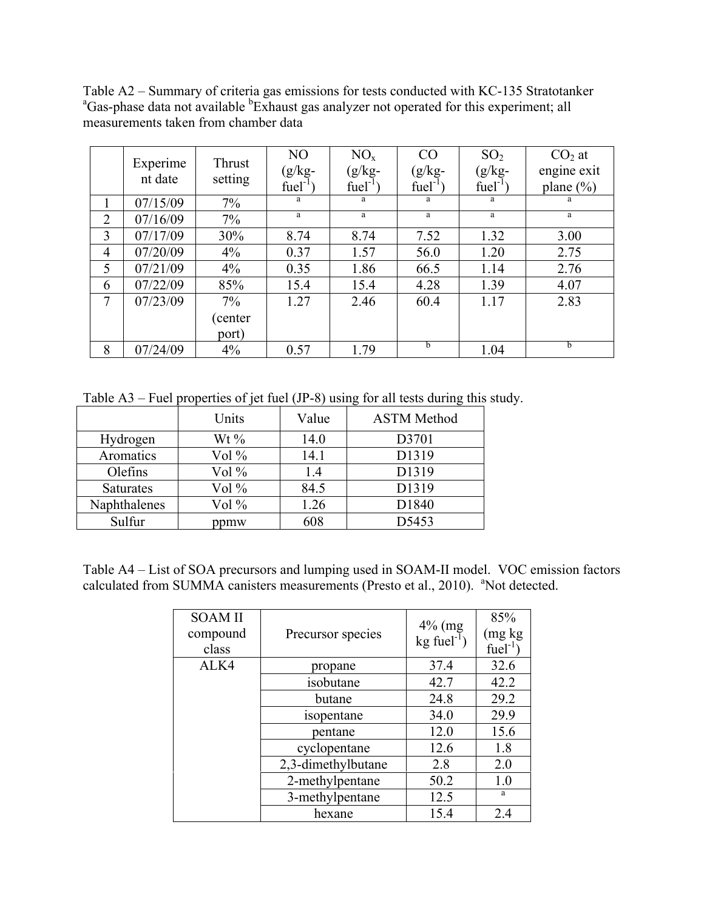Table A2 – Summary of criteria gas emissions for tests conducted with KC-135 Stratotanker Gas-phase data not available <sup>b</sup>Exhaust gas analyzer not operated for this experiment; all measurements taken from chamber data

|                | Experime<br>nt date | Thrust<br>setting | NO<br>$(g/kg -$<br>$fuel-1$ | NO <sub>x</sub><br>$(g/kg -$<br>$fuel-1$ | CO<br>$(g/kg -$<br>$fuel-1$ | SO <sub>2</sub><br>$(g/kg -$<br>$fuel-1$ | $CO2$ at<br>engine exit<br>plane $(\% )$ |
|----------------|---------------------|-------------------|-----------------------------|------------------------------------------|-----------------------------|------------------------------------------|------------------------------------------|
|                | 07/15/09            | $7\%$             | a                           | a                                        | a                           | a                                        | a                                        |
| $\overline{2}$ | 07/16/09            | $7\%$             | a                           | a                                        | a                           | a                                        | a                                        |
| 3              | 07/17/09            | 30%               | 8.74                        | 8.74                                     | 7.52                        | 1.32                                     | 3.00                                     |
| $\overline{4}$ | 07/20/09            | 4%                | 0.37                        | 1.57                                     | 56.0                        | 1.20                                     | 2.75                                     |
| 5              | 07/21/09            | 4%                | 0.35                        | 1.86                                     | 66.5                        | 1.14                                     | 2.76                                     |
| 6              | 07/22/09            | 85%               | 15.4                        | 15.4                                     | 4.28                        | 1.39                                     | 4.07                                     |
| 7              | 07/23/09            | $7\%$             | 1.27                        | 2.46                                     | 60.4                        | 1.17                                     | 2.83                                     |
|                |                     | (center           |                             |                                          |                             |                                          |                                          |
|                |                     | port)             |                             |                                          |                             |                                          |                                          |
| 8              | 07/24/09            | 4%                | 0.57                        | 1.79                                     | b                           | 1.04                                     | <sub>b</sub>                             |

Table A3 – Fuel properties of jet fuel (JP-8) using for all tests during this study.

|                  | Units   | Value | <b>ASTM Method</b> |
|------------------|---------|-------|--------------------|
| Hydrogen         | Wt $\%$ | 14.0  | D3701              |
| Aromatics        | $Vol\%$ | 14.1  | D1319              |
| Olefins          | Vol %   | 1.4   | D1319              |
| <b>Saturates</b> | $Vol\%$ | 84.5  | D1319              |
| Naphthalenes     | $Vol\%$ | 1.26  | D1840              |
| Sulfur           | ppmw    | 608   | D5453              |

Table A4 – List of SOA precursors and lumping used in SOAM-II model. VOC emission factors calculated from SUMMA canisters measurements (Presto et al., 2010). <sup>a</sup>Not detected.

| <b>SOAM II</b><br>compound<br>class | Precursor species  | $4\%$ (mg<br>$kg$ fuel <sup>-1</sup> ) | 85%<br>(mg kg)<br>fuel <sup>-1</sup> |
|-------------------------------------|--------------------|----------------------------------------|--------------------------------------|
| ALK4                                | propane            | 37.4                                   | 32.6                                 |
|                                     | isobutane          | 42.7                                   | 42.2                                 |
|                                     | butane             | 24.8                                   | 29.2                                 |
|                                     | isopentane         | 34.0                                   | 29.9                                 |
|                                     | pentane            | 12.0                                   | 15.6                                 |
|                                     | cyclopentane       | 12.6                                   | 1.8                                  |
|                                     | 2,3-dimethylbutane | 2.8                                    | 2.0                                  |
|                                     | 2-methylpentane    | 50.2                                   | 1.0                                  |
|                                     | 3-methylpentane    | 12.5                                   | a                                    |
|                                     | hexane             | 15.4                                   | 2.4                                  |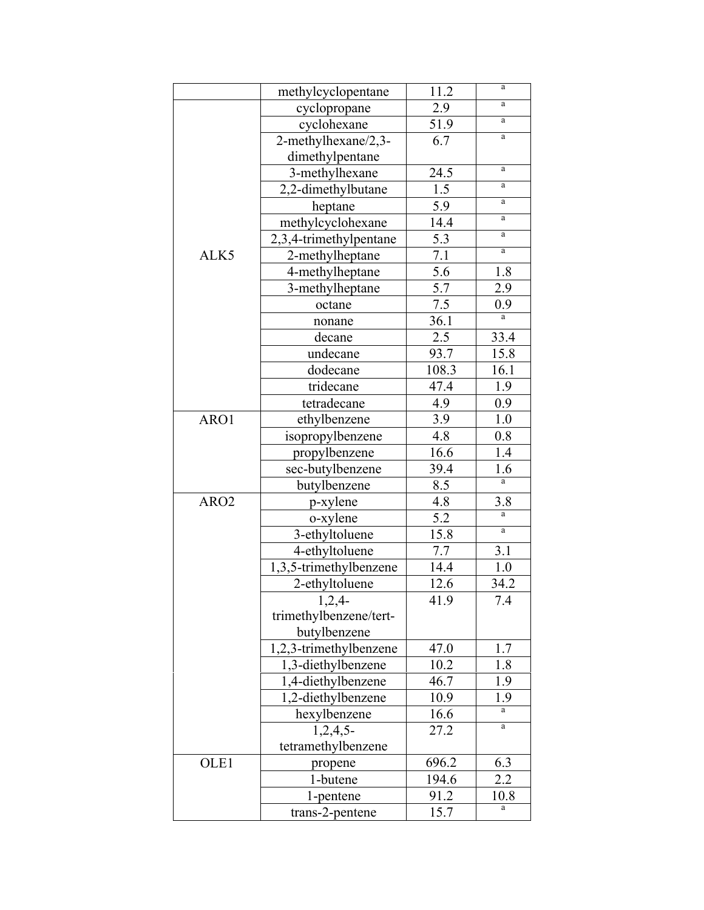|                  | methylcyclopentane     | 11.2              | a        |
|------------------|------------------------|-------------------|----------|
|                  | cyclopropane           | 2.9               | a        |
|                  | cyclohexane            | 51.9              | a        |
|                  | 2-methylhexane/2,3-    | 6.7               | $\rm{a}$ |
|                  | dimethylpentane        |                   |          |
|                  | 3-methylhexane         | 24.5              | a        |
|                  | 2,2-dimethylbutane     | 1.5               | a        |
|                  | heptane                | 5.9               | a        |
|                  | methylcyclohexane      | 14.4              | a        |
|                  | 2,3,4-trimethylpentane | 5.3               | a        |
| ALK5             | 2-methylheptane        | 7.1               | a        |
|                  | 4-methylheptane        | 5.6               | 1.8      |
|                  | 3-methylheptane        | $\overline{5.7}$  | 2.9      |
|                  | octane                 | 7.5               | 0.9      |
|                  | nonane                 | 36.1              | a        |
|                  | decane                 | 2.5               | 33.4     |
|                  | undecane               | 93.7              | 15.8     |
|                  | dodecane               | 108.3             | 16.1     |
|                  | tridecane              | 47.4              | 1.9      |
|                  | tetradecane            | 4.9               | 0.9      |
| ARO1             | ethylbenzene           | 3.9               | 1.0      |
|                  | isopropylbenzene       | 4.8               | 0.8      |
|                  | propylbenzene          | 16.6              | 1.4      |
|                  | sec-butylbenzene       | 39.4              | 1.6      |
|                  | butylbenzene           | 8.5               | a        |
| ARO <sub>2</sub> | p-xylene               | 4.8               | 3.8      |
|                  | o-xylene               | 5.2               | a        |
|                  | 3-ethyltoluene         | 15.8              | $\rm{a}$ |
|                  | 4-ethyltoluene         | $7.\overline{7}$  | 3.1      |
|                  | 1,3,5-trimethylbenzene | 14.4              | 1.0      |
|                  | 2-ethyltoluene         | 12.6              | 34.2     |
|                  | 1,2,4                  | 41.9              | 7.4      |
|                  | trimethylbenzene/tert- |                   |          |
|                  | butylbenzene           |                   |          |
|                  | 1,2,3-trimethylbenzene | 47.0              | 1.7      |
|                  | 1,3-diethylbenzene     | 10.2              | 1.8      |
|                  | 1,4-diethylbenzene     | 46.7              | 1.9      |
|                  | 1,2-diethylbenzene     | 10.9              | 1.9      |
|                  | hexylbenzene           | $\overline{16.6}$ | a        |
|                  | $1,2,4,5$ -            | 27.2              | a        |
|                  | tetramethylbenzene     |                   |          |
| OLE1             | propene                | 696.2             | 6.3      |
|                  | 1-butene               | 194.6             | 2.2      |
|                  | 1-pentene              | 91.2              | 10.8     |
|                  | trans-2-pentene        | 15.7              |          |